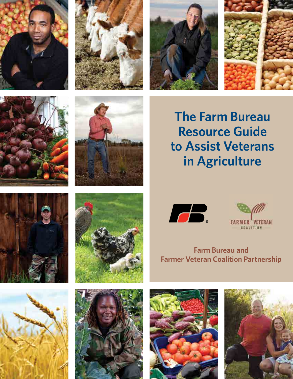











**The Farm Bureau Resource Guide to Assist Veterans in Agriculture**









**Farm Bureau and Farmer Veteran Coalition Partnership**







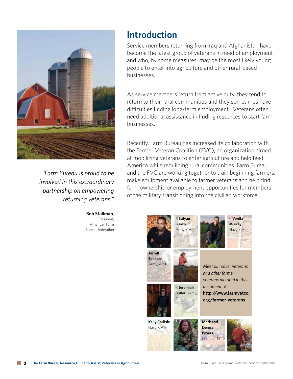

*"Farm Bureau is proud to be involved in this extraordinary partnership on empowering returning veterans."* 

> **Bob Stallman**, President, American Farm Bureau Federation

## **Introduction**

Service members returning from Iraq and Afghanistan have become the latest group of veterans in need of employment and who, by some measures, may be the most likely young people to enter into agriculture and other rural-based businesses.

As service members return from active duty, they tend to return to their rural communities and they sometimes have difficulties finding long-term employment. Veterans often need additional assistance in finding resources to start farm businesses.

Recently, Farm Bureau has increased its collaboration with the Farmer Veteran Coalition (FVC), an organization aimed at mobilizing veterans to enter agriculture and help feed America while rebuilding rural communities. Farm Bureau and the FVC are working together to train beginning farmers, make equipment available to farmer veterans and help find farm ownership or employment opportunities for members of the military transitioning into the civilian workforce.

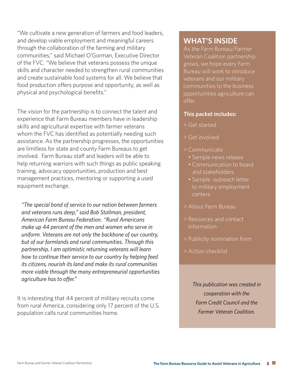"We cultivate a new generation of farmers and food leaders, and develop viable employment and meaningful careers through the collaboration of the farming and military communities," said Michael O'Gorman, Executive Director of the FVC. "We believe that veterans possess the unique skills and character needed to strengthen rural communities and create sustainable food systems for all. We believe that food production offers purpose and opportunity, as well as physical and psychological benefits."

The vision for the partnership is to connect the talent and experience that Farm Bureau members have in leadership skills and agricultural expertise with farmer veterans whom the FVC has identified as potentially needing such assistance. As the partnership progresses, the opportunities are limitless for state and county Farm Bureaus to get involved. Farm Bureau staff and leaders will be able to help returning warriors with such things as public speaking training, advocacy opportunities, production and best management practices, mentoring or supporting a used equipment exchange.

*"The special bond of service to our nation between farmers and veterans runs deep," said Bob Stallman, president, American Farm Bureau Federation. "Rural Americans make up 44 percent of the men and women who serve in uniform. Veterans are not only the backbone of our country, but of our farmlands and rural communities. Through this partnership, I am optimistic returning veterans will learn how to continue their service to our country by helping feed its citizens, nourish its land and make its rural communities more viable through the many entrepreneurial opportunities agriculture has to offer."*

It is interesting that 44 percent of military recruits come from rural America, considering only 17 percent of the U.S. population calls rural communities home.

## **WHAT'S INSIDE**

As the Farm Bureau/Farmer Veteran Coalition partnership grows, we hope every Farm Bureau will work to introduce veterans and our military communities to the business opportunities agriculture can offer.

#### **This packet includes:**

- > Get started
- > Get involved
- > Communicate
	- Sample news release
	- Communication to board and stakeholders
	- Sample outreach letter to military employment centers
- > About Farm Bureau
- > Resources and contact information
- > Publicity nomination form
- > Action checklist

*This publication was created in cooperation with the Farm Credit Council and the Farmer Veteran Coalition.*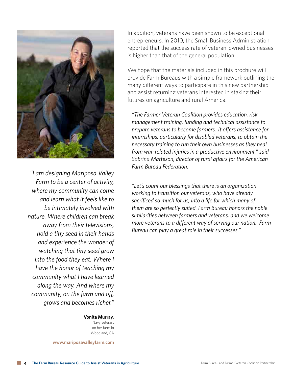

*"I am designing Mariposa Valley Farm to be a center of activity, where my community can come and learn what it feels like to be intimately involved with nature. Where children can break away from their televisions, hold a tiny seed in their hands and experience the wonder of watching that tiny seed grow into the food they eat. Where I have the honor of teaching my community what I have learned along the way. And where my community, on the farm and off, grows and becomes richer."*

> **Vonita Murray**, Navy veteran,

on her farm in Woodland, CA

**www.mariposavalleyfarm.com**

In addition, veterans have been shown to be exceptional entrepreneurs. In 2010, the Small Business Administration reported that the success rate of veteran-owned businesses is higher than that of the general population.

We hope that the materials included in this brochure will provide Farm Bureaus with a simple framework outlining the many different ways to participate in this new partnership and assist returning veterans interested in staking their futures on agriculture and rural America.

*"The Farmer Veteran Coalition provides education, risk management training, funding and technical assistance to prepare veterans to become farmers. It offers assistance for internships, particularly for disabled veterans, to obtain the necessary training to run their own businesses as they heal from war-related injuries in a productive environment," said Sabrina Matteson, director of rural affairs for the American Farm Bureau Federation.*

*"Let's count our blessings that there is an organization working to transition our veterans, who have already sacrificed so much for us, into a life for which many of them are so perfectly suited. Farm Bureau honors the noble similarities between farmers and veterans, and we welcome more veterans to a different way of serving our nation. Farm Bureau can play a great role in their successes."*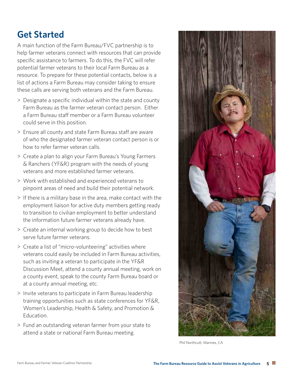# **Get Started**

A main function of the Farm Bureau/FVC partnership is to help farmer veterans connect with resources that can provide specific assistance to farmers. To do this, the FVC will refer potential farmer veterans to their local Farm Bureau as a resource. To prepare for these potential contacts, below is a list of actions a Farm Bureau may consider taking to ensure these calls are serving both veterans and the Farm Bureau.

- > Designate a specific individual within the state and county Farm Bureau as the farmer veteran contact person. Either a Farm Bureau staff member or a Farm Bureau volunteer could serve in this position.
- > Ensure all county and state Farm Bureau staff are aware of who the designated farmer veteran contact person is or how to refer farmer veteran calls.
- > Create a plan to align your Farm Bureau's Young Farmers & Ranchers (YF&R) program with the needs of young veterans and more established farmer veterans.
- > Work with established and experienced veterans to pinpoint areas of need and build their potential network.
- > If there is a military base in the area, make contact with the employment liaison for active duty members getting ready to transition to civilian employment to better understand the information future farmer veterans already have.
- > Create an internal working group to decide how to best serve future farmer veterans.
- > Create a list of "micro-volunteering" activities where veterans could easily be included in Farm Bureau activities, such as inviting a veteran to participate in the YF&R Discussion Meet, attend a county annual meeting, work on a county event, speak to the county Farm Bureau board or at a county annual meeting, etc.
- > Invite veterans to participate in Farm Bureau leadership training opportunities such as state conferences for YF&R, Women's Leadership, Health & Safety, and Promotion & Education.
- > Fund an outstanding veteran farmer from your state to attend a state or national Farm Bureau meeting.



Phil Northcutt, Marines, CA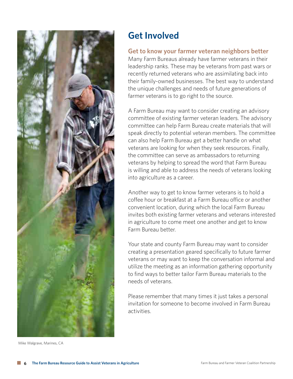

Mike Walgrave, Marines, CA

## **Get Involved**

#### **Get to know your farmer veteran neighbors better**

Many Farm Bureaus already have farmer veterans in their leadership ranks. These may be veterans from past wars or recently returned veterans who are assimilating back into their family-owned businesses. The best way to understand the unique challenges and needs of future generations of farmer veterans is to go right to the source.

A Farm Bureau may want to consider creating an advisory committee of existing farmer veteran leaders. The advisory committee can help Farm Bureau create materials that will speak directly to potential veteran members. The committee can also help Farm Bureau get a better handle on what veterans are looking for when they seek resources. Finally, the committee can serve as ambassadors to returning veterans by helping to spread the word that Farm Bureau is willing and able to address the needs of veterans looking into agriculture as a career.

Another way to get to know farmer veterans is to hold a coffee hour or breakfast at a Farm Bureau office or another convenient location, during which the local Farm Bureau invites both existing farmer veterans and veterans interested in agriculture to come meet one another and get to know Farm Bureau better.

Your state and county Farm Bureau may want to consider creating a presentation geared specifically to future farmer veterans or may want to keep the conversation informal and utilize the meeting as an information gathering opportunity to find ways to better tailor Farm Bureau materials to the needs of veterans.

Please remember that many times it just takes a personal invitation for someone to become involved in Farm Bureau activities.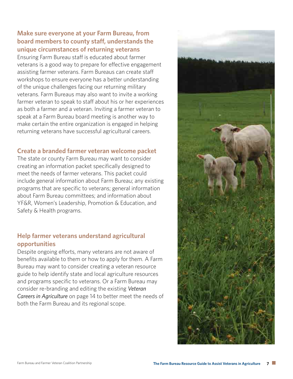#### **Make sure everyone at your Farm Bureau, from board members to county staff, understands the unique circumstances of returning veterans**

Ensuring Farm Bureau staff is educated about farmer veterans is a good way to prepare for effective engagement assisting farmer veterans. Farm Bureaus can create staff workshops to ensure everyone has a better understanding of the unique challenges facing our returning military veterans. Farm Bureaus may also want to invite a working farmer veteran to speak to staff about his or her experiences as both a farmer and a veteran. Inviting a farmer veteran to speak at a Farm Bureau board meeting is another way to make certain the entire organization is engaged in helping returning veterans have successful agricultural careers.

#### **Create a branded farmer veteran welcome packet**

The state or county Farm Bureau may want to consider creating an information packet specifically designed to meet the needs of farmer veterans. This packet could include general information about Farm Bureau; any existing programs that are specific to veterans; general information about Farm Bureau committees; and information about YF&R, Women's Leadership, Promotion & Education, and Safety & Health programs.

#### **Help farmer veterans understand agricultural opportunities**

Despite ongoing efforts, many veterans are not aware of benefits available to them or how to apply for them. A Farm Bureau may want to consider creating a veteran resource guide to help identify state and local agriculture resources and programs specific to veterans. Or a Farm Bureau may consider re-branding and editing the existing *Veteran Careers in Agriculture* on page 14 to better meet the needs of both the Farm Bureau and its regional scope.

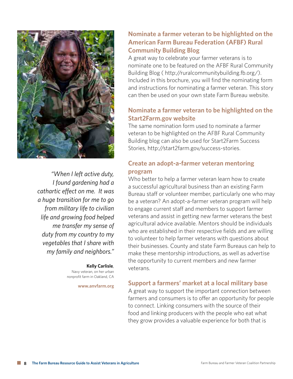

*"When I left active duty, I found gardening had a cathartic effect on me. It was a huge transition for me to go from military life to civilian life and growing food helped me transfer my sense of duty from my country to my vegetables that I share with my family and neighbors."*

#### **Kelly Carlisle**, Navy veteran, on her urban nonprofit farm in Oakland, CA

**www.anvfarm.org**

### **Nominate a farmer veteran to be highlighted on the American Farm Bureau Federation (AFBF) Rural Community Building Blog**

A great way to celebrate your farmer veterans is to nominate one to be featured on the AFBF Rural Community Building Blog ( http://ruralcommunitybuilding.fb.org/). Included in this brochure, you will find the nominating form and instructions for nominating a farmer veteran. This story can then be used on your own state Farm Bureau website.

### **Nominate a farmer veteran to be highlighted on the Start2Farm.gov website**

The same nomination form used to nominate a farmer veteran to be highlighted on the AFBF Rural Community Building blog can also be used for Start2Farm Success Stories, http://start2farm.gov/success-stories.

### **Create an adopt-a-farmer veteran mentoring program**

Who better to help a farmer veteran learn how to create a successful agricultural business than an existing Farm Bureau staff or volunteer member, particularly one who may be a veteran? An adopt-a-farmer veteran program will help to engage current staff and members to support farmer veterans and assist in getting new farmer veterans the best agricultural advice available. Mentors should be individuals who are established in their respective fields and are willing to volunteer to help farmer veterans with questions about their businesses. County and state Farm Bureaus can help to make these mentorship introductions, as well as advertise the opportunity to current members and new farmer veterans.

#### **Support a farmers' market at a local military base**

A great way to support the important connection between farmers and consumers is to offer an opportunity for people to connect. Linking consumers with the source of their food and linking producers with the people who eat what they grow provides a valuable experience for both that is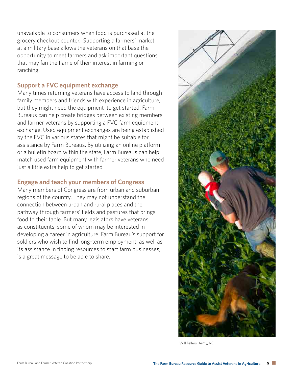unavailable to consumers when food is purchased at the grocery checkout counter. Supporting a farmers' market at a military base allows the veterans on that base the opportunity to meet farmers and ask important questions that may fan the flame of their interest in farming or ranching.

#### **Support a FVC equipment exchange**

Many times returning veterans have access to land through family members and friends with experience in agriculture, but they might need the equipment to get started. Farm Bureaus can help create bridges between existing members and farmer veterans by supporting a FVC farm equipment exchange. Used equipment exchanges are being established by the FVC in various states that might be suitable for assistance by Farm Bureaus. By utilizing an online platform or a bulletin board within the state, Farm Bureaus can help match used farm equipment with farmer veterans who need just a little extra help to get started.

#### **Engage and teach your members of Congress**

Many members of Congress are from urban and suburban regions of the country. They may not understand the connection between urban and rural places and the pathway through farmers' fields and pastures that brings food to their table. But many legislators have veterans as constituents, some of whom may be interested in developing a career in agriculture. Farm Bureau's support for soldiers who wish to find long-term employment, as well as its assistance in finding resources to start farm businesses, is a great message to be able to share.



Will Fellers, Army, NE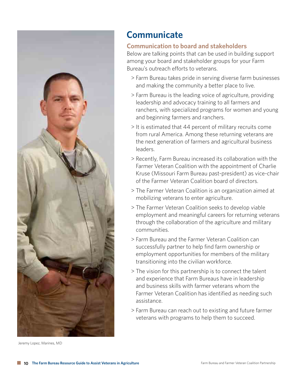

Jeremy Lopez, Marines, MD

## **Communicate**

#### **Communication to board and stakeholders**

Below are talking points that can be used in building support among your board and stakeholder groups for your Farm Bureau's outreach efforts to veterans.

- > Farm Bureau takes pride in serving diverse farm businesses and making the community a better place to live.
- > Farm Bureau is the leading voice of agriculture, providing leadership and advocacy training to all farmers and ranchers, with specialized programs for women and young and beginning farmers and ranchers.
- > It is estimated that 44 percent of military recruits come from rural America. Among these returning veterans are the next generation of farmers and agricultural business leaders.
- > Recently, Farm Bureau increased its collaboration with the Farmer Veteran Coalition with the appointment of Charlie Kruse (Missouri Farm Bureau past-president) as vice-chair of the Farmer Veteran Coalition board of directors.
- > The Farmer Veteran Coalition is an organization aimed at mobilizing veterans to enter agriculture.
- > The Farmer Veteran Coalition seeks to develop viable employment and meaningful careers for returning veterans through the collaboration of the agriculture and military communities.
- > Farm Bureau and the Farmer Veteran Coalition can successfully partner to help find farm ownership or employment opportunities for members of the military transitioning into the civilian workforce.
- > The vision for this partnership is to connect the talent and experience that Farm Bureaus have in leadership and business skills with farmer veterans whom the Farmer Veteran Coalition has identified as needing such assistance.
- > Farm Bureau can reach out to existing and future farmer veterans with programs to help them to succeed.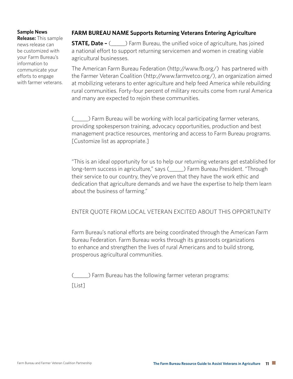#### **Sample News**

**Release:** This sample news release can be customized with your Farm Bureau's information to communicate your efforts to engage with farmer veterans.

#### **FARM BUREAU NAME Supports Returning Veterans Entering Agriculture**

**STATE, Date –** (  $\blacksquare$  ) Farm Bureau, the unified voice of agriculture, has joined a national effort to support returning servicemen and women in creating viable agricultural businesses.

The American Farm Bureau Federation (http://www.fb.org/) has partnered with the Farmer Veteran Coalition (http://www.farmvetco.org/), an organization aimed at mobilizing veterans to enter agriculture and help feed America while rebuilding rural communities. Forty-four percent of military recruits come from rural America and many are expected to rejoin these communities.

(\_\_\_\_\_) Farm Bureau will be working with local participating farmer veterans, providing spokesperson training, advocacy opportunities, production and best management practice resources, mentoring and access to Farm Bureau programs. [Customize list as appropriate.]

"This is an ideal opportunity for us to help our returning veterans get established for long-term success in agriculture," says (\_\_\_\_\_) Farm Bureau President. "Through their service to our country, they've proven that they have the work ethic and dedication that agriculture demands and we have the expertise to help them learn about the business of farming."

#### ENTER QUOTE FROM LOCAL VETERAN EXCITED ABOUT THIS OPPORTUNITY

Farm Bureau's national efforts are being coordinated through the American Farm Bureau Federation. Farm Bureau works through its grassroots organizations to enhance and strengthen the lives of rural Americans and to build strong, prosperous agricultural communities.

(\_\_\_\_\_) Farm Bureau has the following farmer veteran programs:

[List]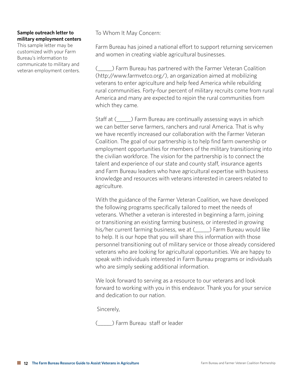#### **Sample outreach letter to military employment centers**

This sample letter may be customized with your Farm Bureau's information to communicate to military and veteran employment centers. To Whom It May Concern:

Farm Bureau has joined a national effort to support returning servicemen and women in creating viable agricultural businesses.

(\_\_\_\_\_) Farm Bureau has partnered with the Farmer Veteran Coalition (http://www.farmvetco.org/), an organization aimed at mobilizing veterans to enter agriculture and help feed America while rebuilding rural communities. Forty-four percent of military recruits come from rural America and many are expected to rejoin the rural communities from which they came.

Staff at  $($   $)$  Farm Bureau are continually assessing ways in which we can better serve farmers, ranchers and rural America. That is why we have recently increased our collaboration with the Farmer Veteran Coalition. The goal of our partnership is to help find farm ownership or employment opportunities for members of the military transitioning into the civilian workforce. The vision for the partnership is to connect the talent and experience of our state and county staff, insurance agents and Farm Bureau leaders who have agricultural expertise with business knowledge and resources with veterans interested in careers related to agriculture.

With the guidance of the Farmer Veteran Coalition, we have developed the following programs specifically tailored to meet the needs of veterans. Whether a veteran is interested in beginning a farm, joining or transitioning an existing farming business, or interested in growing his/her current farming business, we at (\_\_\_\_\_) Farm Bureau would like to help. It is our hope that you will share this information with those personnel transitioning out of military service or those already considered veterans who are looking for agricultural opportunities. We are happy to speak with individuals interested in Farm Bureau programs or individuals who are simply seeking additional information.

We look forward to serving as a resource to our veterans and look forward to working with you in this endeavor. Thank you for your service and dedication to our nation.

Sincerely,

(\_\_\_\_\_) Farm Bureau staff or leader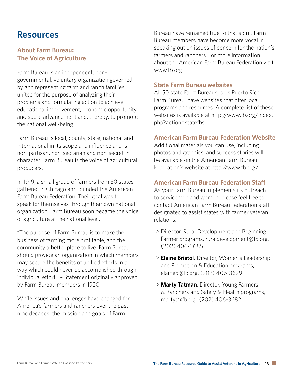## **Resources**

#### **About Farm Bureau: The Voice of Agriculture**

Farm Bureau is an independent, nongovernmental, voluntary organization governed by and representing farm and ranch families united for the purpose of analyzing their problems and formulating action to achieve educational improvement, economic opportunity and social advancement and, thereby, to promote the national well-being.

Farm Bureau is local, county, state, national and international in its scope and influence and is non-partisan, non-sectarian and non-secret in character. Farm Bureau is the voice of agricultural producers.

In 1919, a small group of farmers from 30 states gathered in Chicago and founded the American Farm Bureau Federation. Their goal was to speak for themselves through their own national organization. Farm Bureau soon became the voice of agriculture at the national level.

"The purpose of Farm Bureau is to make the business of farming more profitable, and the community a better place to live. Farm Bureau should provide an organization in which members may secure the benefits of unified efforts in a way which could never be accomplished through individual effort." – Statement originally approved by Farm Bureau members in 1920.

While issues and challenges have changed for America's farmers and ranchers over the past nine decades, the mission and goals of Farm

Bureau have remained true to that spirit. Farm Bureau members have become more vocal in speaking out on issues of concern for the nation's farmers and ranchers. For more information about the American Farm Bureau Federation visit www.fb.org.

#### **State Farm Bureau websites**

All 50 state Farm Bureaus, plus Puerto Rico Farm Bureau, have websites that offer local programs and resources. A complete list of these websites is available at http://www.fb.org/index. php?action=statefbs.

#### **American Farm Bureau Federation Website**

Additional materials you can use, including photos and graphics, and success stories will be available on the American Farm Bureau Federation's website at http://www.fb.org/.

#### **American Farm Bureau Federation Staff**

As your Farm Bureau implements its outreach to servicemen and women, please feel free to contact American Farm Bureau Federation staff designated to assist states with farmer veteran relations:

- > Director, Rural Development and Beginning Farmer programs, ruraldevelopment@fb.org, (202) 406-3685
- > **Elaine Bristol**, Director, Women's Leadership and Promotion & Education programs, elaineb@fb.org, (202) 406-3629
- > **Marty Tatman**, Director, Young Farmers & Ranchers and Safety & Health programs, martyt@fb.org, (202) 406-3682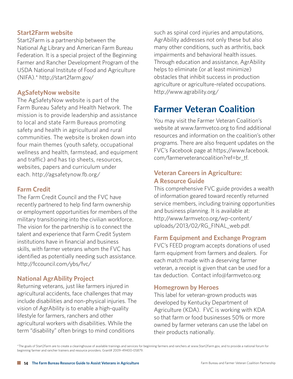#### **Start2Farm website**

Start2Farm is a partnership between the National Ag Library and American Farm Bureau Federation. It is a special project of the Beginning Farmer and Rancher Development Program of the USDA National Institute of Food and Agriculture (NIFA).\* http://start2farm.gov/

#### **AgSafetyNow website**

The AgSafetyNow website is part of the Farm Bureau Safety and Health Network. The mission is to provide leadership and assistance to local and state Farm Bureaus promoting safety and health in agricultural and rural communities. The website is broken down into four main themes (youth safety, occupational wellness and health, farmstead, and equipment and traffic) and has tip sheets, resources, websites, papers and curriculum under each. http://agsafetynow.fb.org/

#### **Farm Credit**

The Farm Credit Council and the FVC have recently partnered to help find farm ownership or employment opportunities for members of the military transitioning into the civilian workforce. The vision for the partnership is to connect the talent and experience that Farm Credit System institutions have in financial and business skills, with farmer veterans whom the FVC has identified as potentially needing such assistance. http://fccouncil.com/ybs/fvc/

#### **National AgrAbility Project**

Returning veterans, just like farmers injured in agricultural accidents, face challenges that may include disabilities and non-physical injuries. The vision of AgrAbility is to enable a high-quality lifestyle for farmers, ranchers and other agricultural workers with disabilities. While the term "disability" often brings to mind conditions

such as spinal cord injuries and amputations, AgrAbility addresses not only these but also many other conditions, such as arthritis, back impairments and behavioral health issues. Through education and assistance, AgrAbility helps to eliminate (or at least minimize) obstacles that inhibit success in production agriculture or agriculture-related occupations. http://www.agrability.org/

# **Farmer Veteran Coalition**

You may visit the Farmer Veteran Coalition's website at www.farmvetco.org to find additional resources and information on the coalition's other programs. There are also frequent updates on the FVC's Facebook page at https://www.facebook. com/farmerveterancoalition?ref=br\_tf.

#### **Veteran Careers in Agriculture: A Resource Guide**

This comprehensive FVC guide provides a wealth of information geared toward recently returned service members, including training opportunities and business planning. It is available at: http://www.farmvetco.org/wp-content/ uploads/2013/02/RG\_FINAL\_web.pdf.

#### **Farm Equipment and Exchange Program**

FVC's FEED program accepts donations of used farm equipment from farmers and dealers. For each match made with a deserving farmer veteran, a receipt is given that can be used for a tax deduction. Contact info@farmvetco.org

#### **Homegrown by Heroes**

This label for veteran-grown products was developed by Kentucky Department of Agriculture (KDA). FVC is working with KDA so that farm or food businesses 50% or more owned by farmer veterans can use the label on their products nationally.

\*The goals of Start2Farm are to create a clearinghouse of available trainings and services for beginning farmers and ranchers at www.Start2Farm.gov, and to provide a national forum for beginning farmer and rancher trainers and resource providers. Grant# 2009-49400-05879.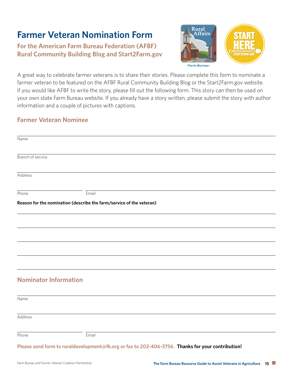# **Farmer Veteran Nomination Form**

## **For the American Farm Bureau Federation (AFBF) Rural Community Building Blog and Start2Farm.gov**



A great way to celebrate farmer veterans is to share their stories. Please complete this form to nominate a farmer veteran to be featured on the AFBF Rural Community Building Blog or the Start2Farm.gov website. If you would like AFBF to write the story, please fill out the following form. This story can then be used on your own state Farm Bureau website. If you already have a story written, please submit the story with author information and a couple of pictures with captions.

#### **Farmer Veteran Nominee**

| Name                         |                                                                                                   |  |  |
|------------------------------|---------------------------------------------------------------------------------------------------|--|--|
| Branch of service            |                                                                                                   |  |  |
| Address                      |                                                                                                   |  |  |
| Phone                        | Email                                                                                             |  |  |
|                              | Reason for the nomination (describe the farm/service of the veteran)                              |  |  |
|                              |                                                                                                   |  |  |
|                              |                                                                                                   |  |  |
|                              |                                                                                                   |  |  |
|                              |                                                                                                   |  |  |
| <b>Nominator Information</b> |                                                                                                   |  |  |
| Name                         |                                                                                                   |  |  |
| Address                      |                                                                                                   |  |  |
| Phone                        | Email                                                                                             |  |  |
|                              | Please send form to ruraldevelopment@fb.org or fax to 202-406-3756. Thanks for your contribution! |  |  |